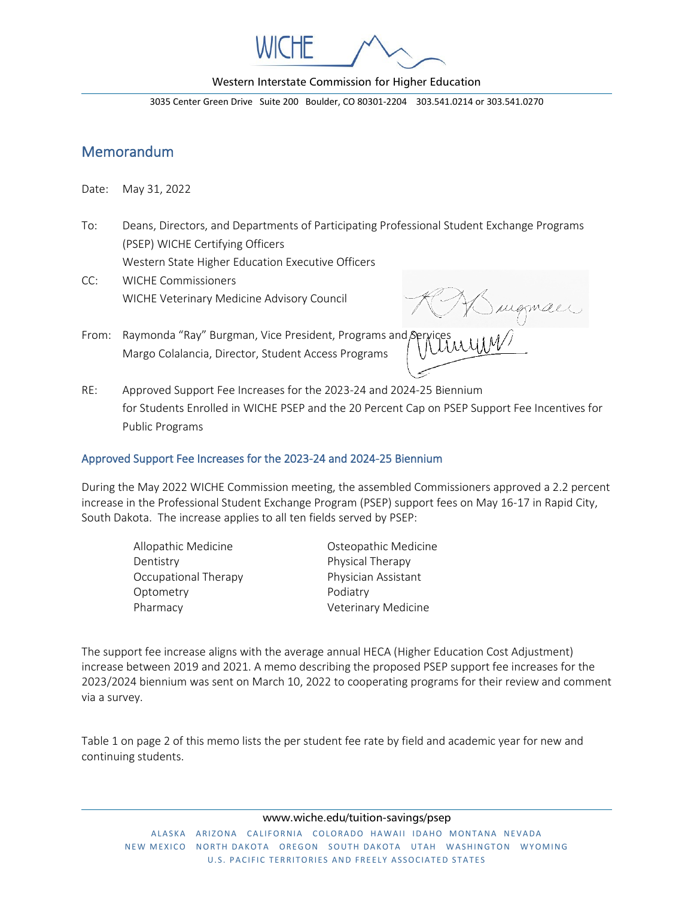

Western Interstate Commission for Higher Education

3035 Center Green Drive Suite 200 Boulder, CO 80301-2204 303.541.0214 or 303.541.0270

# Memorandum

Date: May 31, 2022

To: Deans, Directors, and Departments of Participating Professional Student Exchange Programs (PSEP) WICHE Certifying Officers

Western State Higher Education Executive Officers

CC: WICHE Commissioners WICHE Veterinary Medicine Advisory Council

sugman

- From: Raymonda "Ray" Burgman, Vice President, Programs and Margo Colalancia, Director, Student Access Programs
- RE: Approved Support Fee Increases for the 2023-24 and 2024-25 Biennium for Students Enrolled in WICHE PSEP and the 20 Percent Cap on PSEP Support Fee Incentives for Public Programs

## Approved Support Fee Increases for the 2023-24 and 2024-25 Biennium

During the May 2022 WICHE Commission meeting, the assembled Commissioners approved a 2.2 percent increase in the Professional Student Exchange Program (PSEP) support fees on May 16-17 in Rapid City, South Dakota. The increase applies to all ten fields served by PSEP:

- Dentistry **Physical Therapy** Occupational Therapy Physician Assistant Optometry **Podiatry** Pharmacy **Veterinary Medicine**
- Allopathic Medicine Osteopathic Medicine

The support fee increase aligns with the average annual HECA (Higher Education Cost Adjustment) increase between 2019 and 2021. A memo describing the proposed PSEP support fee increases for the 2023/2024 biennium was sent on March 10, 2022 to cooperating programs for their review and comment via a survey.

Table 1 on page 2 of this memo lists the per student fee rate by field and academic year for new and continuing students.

www.wiche.edu/tuition-savings/psep

ALASKA ARIZONA CALIFORNIA COLORADO HAWAII IDAHO MONTANA NEVADA NEW MEXICO NORTH DAKOTA OREGON SOUTH DAKOTA UTAH WASHINGTON WYOMING U.S. PACIFIC TERRITORIES AND FREELY ASSOCIATED STATES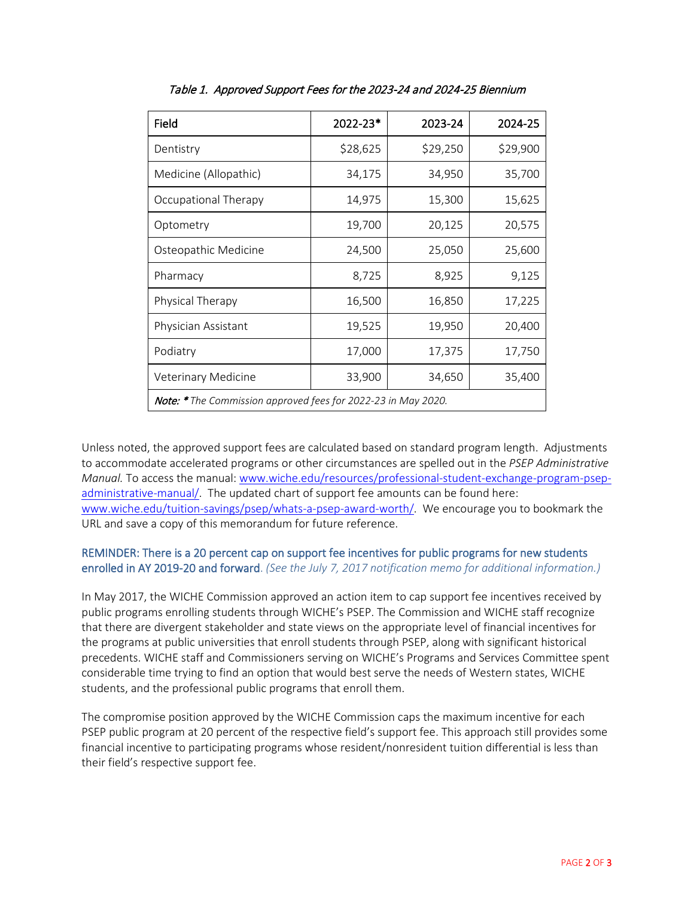| Field                                                                | 2022-23* | 2023-24  | 2024-25  |
|----------------------------------------------------------------------|----------|----------|----------|
| Dentistry                                                            | \$28,625 | \$29,250 | \$29,900 |
| Medicine (Allopathic)                                                | 34,175   | 34,950   | 35,700   |
| Occupational Therapy                                                 | 14,975   | 15,300   | 15,625   |
| Optometry                                                            | 19,700   | 20,125   | 20,575   |
| Osteopathic Medicine                                                 | 24,500   | 25,050   | 25,600   |
| Pharmacy                                                             | 8,725    | 8,925    | 9,125    |
| Physical Therapy                                                     | 16,500   | 16,850   | 17,225   |
| Physician Assistant                                                  | 19,525   | 19,950   | 20,400   |
| Podiatry                                                             | 17,000   | 17,375   | 17,750   |
| Veterinary Medicine                                                  | 33,900   | 34,650   | 35,400   |
| <b>Note: *</b> The Commission approved fees for 2022-23 in May 2020. |          |          |          |

Table 1. Approved Support Fees for the 2023-24 and 2024-25 Biennium

Unless noted, the approved support fees are calculated based on standard program length. Adjustments to accommodate accelerated programs or other circumstances are spelled out in the *PSEP Administrative Manual.* To access the manual: [www.wiche.edu/resources/professional-student-exchange-program-psep](http://www.wiche.edu/resources/professional-student-exchange-program-psep-administrative-manual/)[administrative-manual/.](http://www.wiche.edu/resources/professional-student-exchange-program-psep-administrative-manual/) The updated chart of support fee amounts can be found here: [www.wiche.edu/tuition-savings/psep/whats-a-psep-award-worth/.](http://www.wiche.edu/tuition-savings/psep/whats-a-psep-award-worth/) We encourage you to bookmark the URL and save a copy of this memorandum for future reference.

### REMINDER: There is a 20 percent cap on support fee incentives for public programs for new students enrolled in AY 2019-20 and forward. *(See the July 7, 2017 notification memo for additional information.)*

In May 2017, the WICHE Commission approved an action item to cap support fee incentives received by public programs enrolling students through WICHE's PSEP. The Commission and WICHE staff recognize that there are divergent stakeholder and state views on the appropriate level of financial incentives for the programs at public universities that enroll students through PSEP, along with significant historical precedents. WICHE staff and Commissioners serving on WICHE's Programs and Services Committee spent considerable time trying to find an option that would best serve the needs of Western states, WICHE students, and the professional public programs that enroll them.

The compromise position approved by the WICHE Commission caps the maximum incentive for each PSEP public program at 20 percent of the respective field's support fee. This approach still provides some financial incentive to participating programs whose resident/nonresident tuition differential is less than their field's respective support fee.